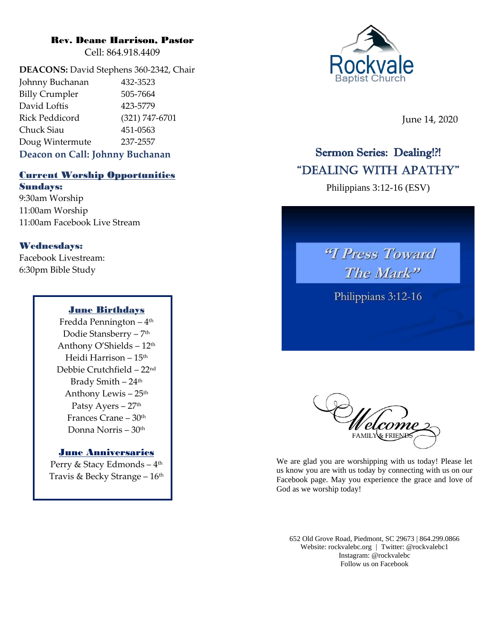## Rev. Deane Harrison, Pastor

Cell: 864.918.4409

**DEACONS:** David Stephens 360-2342, Chair Johnny Buchanan 432-3523 Billy Crumpler 505-7664 David Loftis 423-5779 Rick Peddicord (321) 747-6701 Chuck Siau 451-0563 Doug Wintermute 237-2557

## **Deacon on Call: Johnny Buchanan**

## Current Worship Opportunities Sundays:

9:30am Worship 11:00am Worship 11:00am Facebook Live Stream

## Wednesdays:

Facebook Livestream: 6:30pm Bible Study

## June Birthdays

Fredda Pennington – 4 th Dodie Stansberry – 7 th Anthony O'Shields –  $12<sup>th</sup>$ Heidi Harrison – 15th Debbie Crutchfield – 22nd Brady Smith - 24<sup>th</sup> Anthony Lewis – 25 th Patsy Ayers - 27<sup>th</sup> Frances Crane – 30th Donna Norris – 30th

## June Anniversaries

Perry & Stacy Edmonds – 4 th Travis & Becky Strange – 16 th



June 14, 2020

## Sermon Series: Dealing!?! "Dealing With APATHY"

Philippians 3:12-16 (ESV)





We are glad you are worshipping with us today! Please let us know you are with us today by connecting with us on our Facebook page. May you experience the grace and love of God as we worship today!

652 Old Grove Road, Piedmont, SC 29673 | 864.299.0866 Website: rockvalebc.org *|* Twitter: @rockvalebc1 Instagram: @rockvalebc Follow us on Facebook